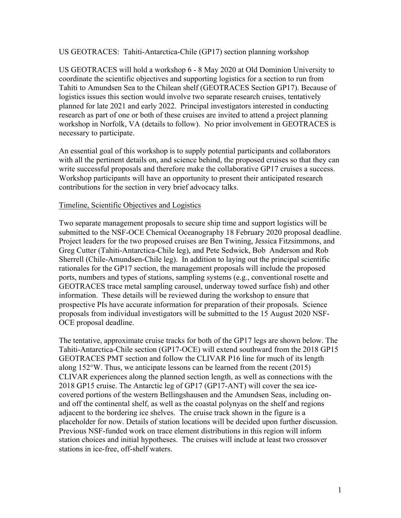US GEOTRACES: Tahiti-Antarctica-Chile (GP17) section planning workshop

US GEOTRACES will hold a workshop 6 - 8 May 2020 at Old Dominion University to coordinate the scientific objectives and supporting logistics for a section to run from Tahiti to Amundsen Sea to the Chilean shelf (GEOTRACES Section GP17). Because of logistics issues this section would involve two separate research cruises, tentatively planned for late 2021 and early 2022. Principal investigators interested in conducting research as part of one or both of these cruises are invited to attend a project planning workshop in Norfolk, VA (details to follow). No prior involvement in GEOTRACES is necessary to participate.

An essential goal of this workshop is to supply potential participants and collaborators with all the pertinent details on, and science behind, the proposed cruises so that they can write successful proposals and therefore make the collaborative GP17 cruises a success. Workshop participants will have an opportunity to present their anticipated research contributions for the section in very brief advocacy talks.

## Timeline, Scientific Objectives and Logistics

Two separate management proposals to secure ship time and support logistics will be submitted to the NSF-OCE Chemical Oceanography 18 February 2020 proposal deadline. Project leaders for the two proposed cruises are Ben Twining, Jessica Fitzsimmons, and Greg Cutter (Tahiti-Antarctica-Chile leg), and Pete Sedwick, Bob Anderson and Rob Sherrell (Chile-Amundsen-Chile leg). In addition to laying out the principal scientific rationales for the GP17 section, the management proposals will include the proposed ports, numbers and types of stations, sampling systems (e.g., conventional rosette and GEOTRACES trace metal sampling carousel, underway towed surface fish) and other information. These details will be reviewed during the workshop to ensure that prospective PIs have accurate information for preparation of their proposals. Science proposals from individual investigators will be submitted to the 15 August 2020 NSF-OCE proposal deadline.

The tentative, approximate cruise tracks for both of the GP17 legs are shown below. The Tahiti-Antarctica-Chile section (GP17-OCE) will extend southward from the 2018 GP15 GEOTRACES PMT section and follow the CLIVAR P16 line for much of its length along  $152^{\circ}$ W. Thus, we anticipate lessons can be learned from the recent (2015) CLIVAR experiences along the planned section length, as well as connections with the 2018 GP15 cruise. The Antarctic leg of GP17 (GP17-ANT) will cover the sea icecovered portions of the western Bellingshausen and the Amundsen Seas, including onand off the continental shelf, as well as the coastal polynyas on the shelf and regions adjacent to the bordering ice shelves. The cruise track shown in the figure is a placeholder for now. Details of station locations will be decided upon further discussion. Previous NSF-funded work on trace element distributions in this region will inform station choices and initial hypotheses. The cruises will include at least two crossover stations in ice-free, off-shelf waters.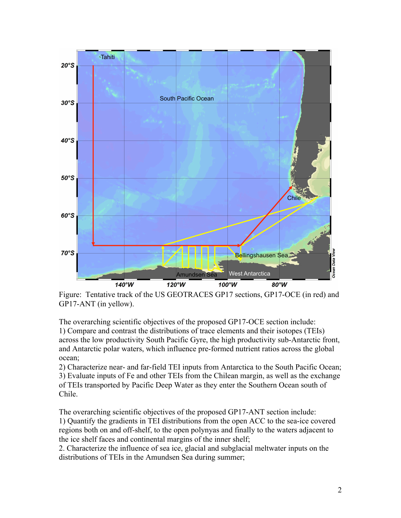

Figure: Tentative track of the US GEOTRACES GP17 sections, GP17-OCE (in red) and GP17-ANT (in yellow).

The overarching scientific objectives of the proposed GP17-OCE section include: 1) Compare and contrast the distributions of trace elements and their isotopes (TEIs) across the low productivity South Pacific Gyre, the high productivity sub-Antarctic front, and Antarctic polar waters, which influence pre-formed nutrient ratios across the global ocean;

2) Characterize near- and far-field TEI inputs from Antarctica to the South Pacific Ocean; 3) Evaluate inputs of Fe and other TEIs from the Chilean margin, as well as the exchange of TEIs transported by Pacific Deep Water as they enter the Southern Ocean south of Chile.

The overarching scientific objectives of the proposed GP17-ANT section include: 1) Quantify the gradients in TEI distributions from the open ACC to the sea-ice covered regions both on and off-shelf, to the open polynyas and finally to the waters adjacent to the ice shelf faces and continental margins of the inner shelf;

2. Characterize the influence of sea ice, glacial and subglacial meltwater inputs on the distributions of TEIs in the Amundsen Sea during summer;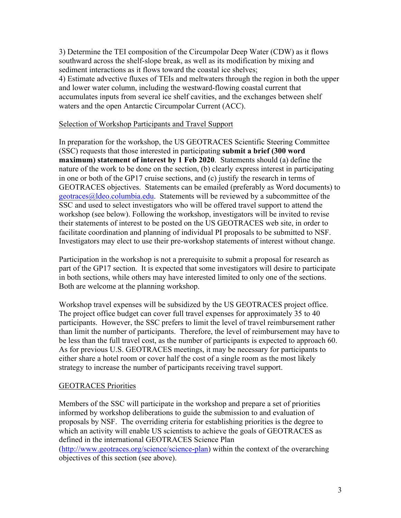3) Determine the TEI composition of the Circumpolar Deep Water (CDW) as it flows southward across the shelf-slope break, as well as its modification by mixing and sediment interactions as it flows toward the coastal ice shelves; 4) Estimate advective fluxes of TEIs and meltwaters through the region in both the upper and lower water column, including the westward-flowing coastal current that accumulates inputs from several ice shelf cavities, and the exchanges between shelf waters and the open Antarctic Circumpolar Current (ACC).

## Selection of Workshop Participants and Travel Support

In preparation for the workshop, the US GEOTRACES Scientific Steering Committee (SSC) requests that those interested in participating **submit a brief (300 word maximum) statement of interest by 1 Feb 2020**. Statements should (a) define the nature of the work to be done on the section, (b) clearly express interest in participating in one or both of the GP17 cruise sections, and (c) justify the research in terms of GEOTRACES objectives. Statements can be emailed (preferably as Word documents) to geotraces@ldeo.columbia.edu. Statements will be reviewed by a subcommittee of the SSC and used to select investigators who will be offered travel support to attend the workshop (see below). Following the workshop, investigators will be invited to revise their statements of interest to be posted on the US GEOTRACES web site, in order to facilitate coordination and planning of individual PI proposals to be submitted to NSF. Investigators may elect to use their pre-workshop statements of interest without change.

Participation in the workshop is not a prerequisite to submit a proposal for research as part of the GP17 section. It is expected that some investigators will desire to participate in both sections, while others may have interested limited to only one of the sections. Both are welcome at the planning workshop.

Workshop travel expenses will be subsidized by the US GEOTRACES project office. The project office budget can cover full travel expenses for approximately 35 to 40 participants. However, the SSC prefers to limit the level of travel reimbursement rather than limit the number of participants. Therefore, the level of reimbursement may have to be less than the full travel cost, as the number of participants is expected to approach 60. As for previous U.S. GEOTRACES meetings, it may be necessary for participants to either share a hotel room or cover half the cost of a single room as the most likely strategy to increase the number of participants receiving travel support.

## GEOTRACES Priorities

Members of the SSC will participate in the workshop and prepare a set of priorities informed by workshop deliberations to guide the submission to and evaluation of proposals by NSF. The overriding criteria for establishing priorities is the degree to which an activity will enable US scientists to achieve the goals of GEOTRACES as defined in the international GEOTRACES Science Plan

(http://www.geotraces.org/science/science-plan) within the context of the overarching objectives of this section (see above).